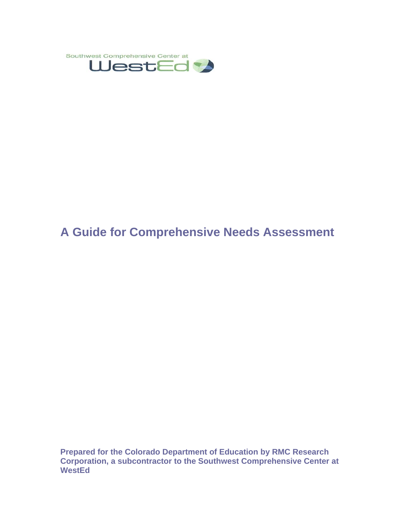

# **A Guide for Comprehensive Needs Assessment**

**Prepared for the Colorado Department of Education by RMC Research Corporation, a subcontractor to the Southwest Comprehensive Center at WestEd**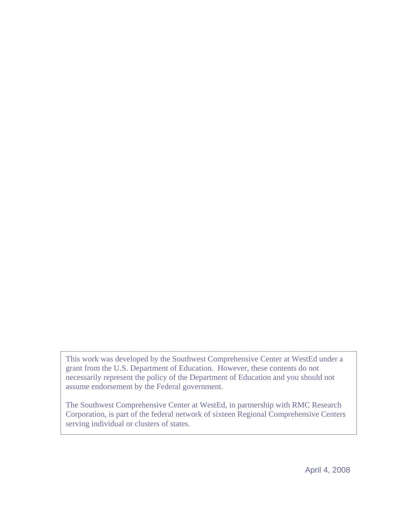This work was developed by the Southwest Comprehensive Center at WestEd under a grant from the U.S. Department of Education. However, these contents do not necessarily represent the policy of the Department of Education and you should not assume endorsement by the Federal government.

The Southwest Comprehensive Center at WestEd, in partnership with RMC Research Corporation, is part of the federal network of sixteen Regional Comprehensive Centers serving individual or clusters of states.

April 4, 2008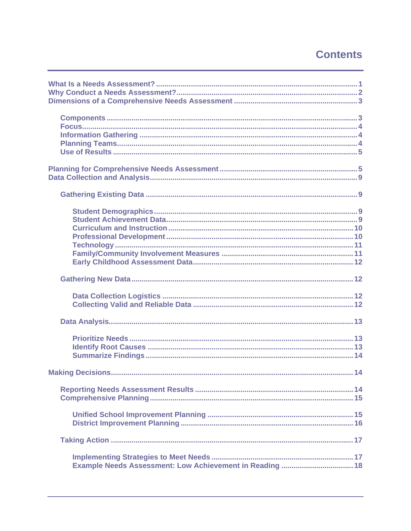# **Contents**

| Example Needs Assessment: Low Achievement in Reading  18 |
|----------------------------------------------------------|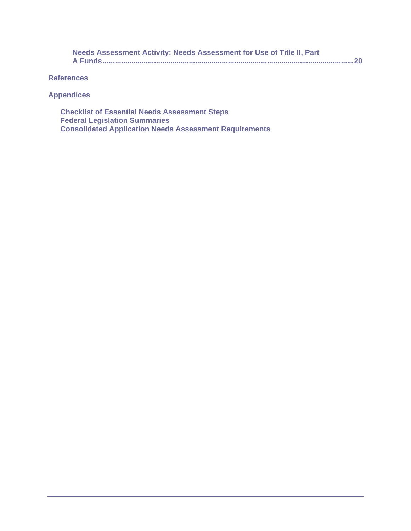| Needs Assessment Activity: Needs Assessment for Use of Title II, Part |  |
|-----------------------------------------------------------------------|--|
|                                                                       |  |

**References** 

**Appendices** 

**Checklist of Essential Needs Assessment Steps Federal Legislation Summaries Consolidated Application Needs Assessment Requirements**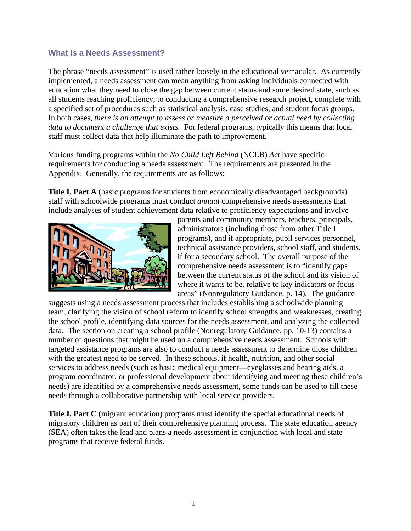#### **What Is a Needs Assessment?**

The phrase "needs assessment" is used rather loosely in the educational vernacular. As currently implemented, a needs assessment can mean anything from asking individuals connected with education what they need to close the gap between current status and some desired state, such as all students reaching proficiency, to conducting a comprehensive research project, complete with a specified set of procedures such as statistical analysis, case studies, and student focus groups. In both cases, *there is an attempt to assess or measure a perceived or actual need by collecting data to document a challenge that exists.* For federal programs, typically this means that local staff must collect data that help illuminate the path to improvement.

Various funding programs within the *No Child Left Behind* (NCLB) *Act* have specific requirements for conducting a needs assessment. The requirements are presented in the Appendix. Generally, the requirements are as follows:

**Title I, Part A** (basic programs for students from economically disadvantaged backgrounds) staff with schoolwide programs must conduct *annual* comprehensive needs assessments that include analyses of student achievement data relative to proficiency expectations and involve



parents and community members, teachers, principals, administrators (including those from other Title I programs), and if appropriate, pupil services personnel, technical assistance providers, school staff, and students, if for a secondary school. The overall purpose of the comprehensive needs assessment is to "identify gaps between the current status of the school and its vision of where it wants to be, relative to key indicators or focus areas" (Nonregulatory Guidance, p. 14). The guidance

suggests using a needs assessment process that includes establishing a schoolwide planning team, clarifying the vision of school reform to identify school strengths and weaknesses, creating the school profile, identifying data sources for the needs assessment, and analyzing the collected data. The section on creating a school profile (Nonregulatory Guidance, pp. 10-13) contains a number of questions that might be used on a comprehensive needs assessment. Schools with targeted assistance programs are also to conduct a needs assessment to determine those children with the greatest need to be served. In these schools, if health, nutrition, and other social services to address needs (such as basic medical equipment—eyeglasses and hearing aids, a program coordinator, or professional development about identifying and meeting these children's needs) are identified by a comprehensive needs assessment, some funds can be used to fill these needs through a collaborative partnership with local service providers.

**Title I, Part C** (migrant education) programs must identify the special educational needs of migratory children as part of their comprehensive planning process. The state education agency (SEA) often takes the lead and plans a needs assessment in conjunction with local and state programs that receive federal funds.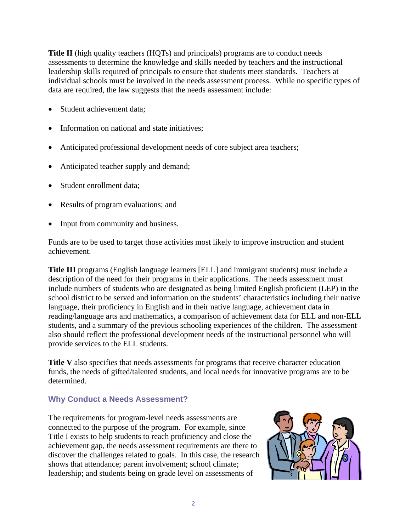**Title II** (high quality teachers (HQTs) and principals) programs are to conduct needs assessments to determine the knowledge and skills needed by teachers and the instructional leadership skills required of principals to ensure that students meet standards. Teachers at individual schools must be involved in the needs assessment process. While no specific types of data are required, the law suggests that the needs assessment include:

- Student achievement data;
- Information on national and state initiatives;
- Anticipated professional development needs of core subject area teachers;
- Anticipated teacher supply and demand;
- Student enrollment data:
- Results of program evaluations; and
- Input from community and business.

Funds are to be used to target those activities most likely to improve instruction and student achievement.

**Title III** programs (English language learners [ELL] and immigrant students) must include a description of the need for their programs in their applications. The needs assessment must include numbers of students who are designated as being limited English proficient (LEP) in the school district to be served and information on the students' characteristics including their native language, their proficiency in English and in their native language, achievement data in reading/language arts and mathematics, a comparison of achievement data for ELL and non-ELL students, and a summary of the previous schooling experiences of the children. The assessment also should reflect the professional development needs of the instructional personnel who will provide services to the ELL students.

**Title V** also specifies that needs assessments for programs that receive character education funds, the needs of gifted/talented students, and local needs for innovative programs are to be determined.

### **Why Conduct a Needs Assessment?**

The requirements for program-level needs assessments are connected to the purpose of the program. For example, since Title I exists to help students to reach proficiency and close the achievement gap, the needs assessment requirements are there to discover the challenges related to goals. In this case, the research shows that attendance; parent involvement; school climate; leadership; and students being on grade level on assessments of

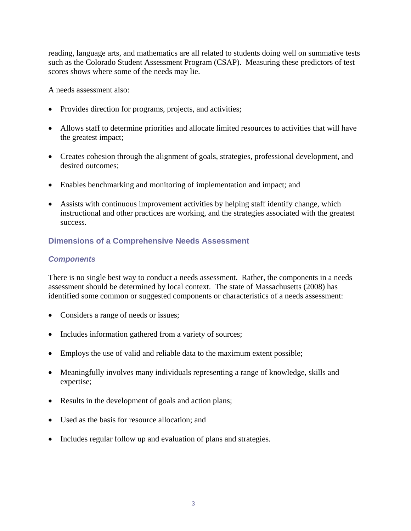reading, language arts, and mathematics are all related to students doing well on summative tests such as the Colorado Student Assessment Program (CSAP). Measuring these predictors of test scores shows where some of the needs may lie.

A needs assessment also:

- Provides direction for programs, projects, and activities;
- Allows staff to determine priorities and allocate limited resources to activities that will have the greatest impact;
- Creates cohesion through the alignment of goals, strategies, professional development, and desired outcomes;
- Enables benchmarking and monitoring of implementation and impact; and
- Assists with continuous improvement activities by helping staff identify change, which instructional and other practices are working, and the strategies associated with the greatest success.

#### **Dimensions of a Comprehensive Needs Assessment**

#### *Components*

There is no single best way to conduct a needs assessment. Rather, the components in a needs assessment should be determined by local context. The state of Massachusetts (2008) has identified some common or suggested components or characteristics of a needs assessment:

- Considers a range of needs or issues;
- Includes information gathered from a variety of sources;
- Employs the use of valid and reliable data to the maximum extent possible;
- Meaningfully involves many individuals representing a range of knowledge, skills and expertise;
- Results in the development of goals and action plans;
- Used as the basis for resource allocation; and
- Includes regular follow up and evaluation of plans and strategies.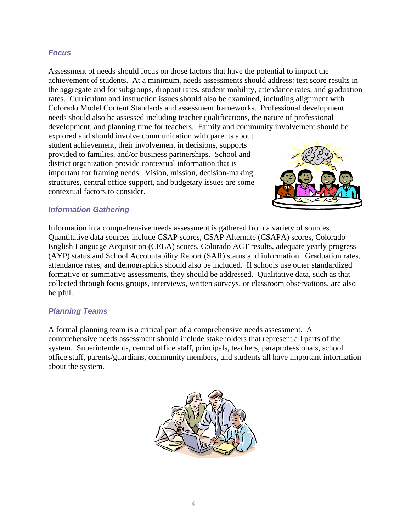#### *Focus*

Assessment of needs should focus on those factors that have the potential to impact the achievement of students. At a minimum, needs assessments should address: test score results in the aggregate and for subgroups, dropout rates, student mobility, attendance rates, and graduation rates. Curriculum and instruction issues should also be examined, including alignment with Colorado Model Content Standards and assessment frameworks. Professional development needs should also be assessed including teacher qualifications, the nature of professional development, and planning time for teachers. Family and community involvement should be

explored and should involve communication with parents about student achievement, their involvement in decisions, supports provided to families, and/or business partnerships. School and district organization provide contextual information that is important for framing needs. Vision, mission, decision-making structures, central office support, and budgetary issues are some contextual factors to consider.



#### *Information Gathering*

Information in a comprehensive needs assessment is gathered from a variety of sources. Quantitative data sources include CSAP scores, CSAP Alternate (CSAPA) scores, Colorado English Language Acquisition (CELA) scores, Colorado ACT results, adequate yearly progress (AYP) status and School Accountability Report (SAR) status and information. Graduation rates, attendance rates, and demographics should also be included. If schools use other standardized formative or summative assessments, they should be addressed. Qualitative data, such as that collected through focus groups, interviews, written surveys, or classroom observations, are also helpful.

### *Planning Teams*

A formal planning team is a critical part of a comprehensive needs assessment. A comprehensive needs assessment should include stakeholders that represent all parts of the system. Superintendents, central office staff, principals, teachers, paraprofessionals, school office staff, parents/guardians, community members, and students all have important information about the system.

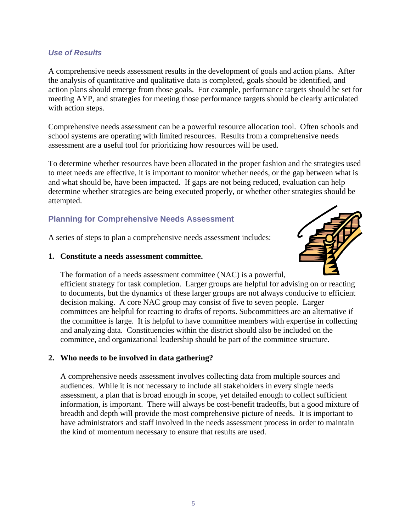#### *Use of Results*

A comprehensive needs assessment results in the development of goals and action plans. After the analysis of quantitative and qualitative data is completed, goals should be identified, and action plans should emerge from those goals. For example, performance targets should be set for meeting AYP, and strategies for meeting those performance targets should be clearly articulated with action steps.

Comprehensive needs assessment can be a powerful resource allocation tool. Often schools and school systems are operating with limited resources. Results from a comprehensive needs assessment are a useful tool for prioritizing how resources will be used.

To determine whether resources have been allocated in the proper fashion and the strategies used to meet needs are effective, it is important to monitor whether needs, or the gap between what is and what should be, have been impacted. If gaps are not being reduced, evaluation can help determine whether strategies are being executed properly, or whether other strategies should be attempted.

# **Planning for Comprehensive Needs Assessment**

A series of steps to plan a comprehensive needs assessment includes:

#### **1. Constitute a needs assessment committee.**



The formation of a needs assessment committee (NAC) is a powerful, efficient strategy for task completion. Larger groups are helpful for advising on or reacting to documents, but the dynamics of these larger groups are not always conducive to efficient decision making. A core NAC group may consist of five to seven people. Larger committees are helpful for reacting to drafts of reports. Subcommittees are an alternative if the committee is large. It is helpful to have committee members with expertise in collecting and analyzing data. Constituencies within the district should also be included on the committee, and organizational leadership should be part of the committee structure.

### **2. Who needs to be involved in data gathering?**

A comprehensive needs assessment involves collecting data from multiple sources and audiences. While it is not necessary to include all stakeholders in every single needs assessment, a plan that is broad enough in scope, yet detailed enough to collect sufficient information, is important. There will always be cost-benefit tradeoffs, but a good mixture of breadth and depth will provide the most comprehensive picture of needs. It is important to have administrators and staff involved in the needs assessment process in order to maintain the kind of momentum necessary to ensure that results are used.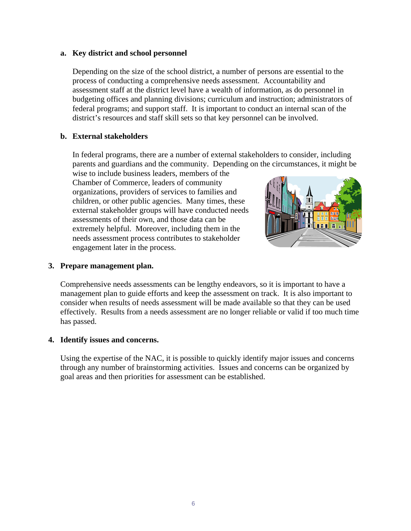#### **a. Key district and school personnel**

Depending on the size of the school district, a number of persons are essential to the process of conducting a comprehensive needs assessment. Accountability and assessment staff at the district level have a wealth of information, as do personnel in budgeting offices and planning divisions; curriculum and instruction; administrators of federal programs; and support staff. It is important to conduct an internal scan of the district's resources and staff skill sets so that key personnel can be involved.

#### **b. External stakeholders**

In federal programs, there are a number of external stakeholders to consider, including parents and guardians and the community. Depending on the circumstances, it might be wise to include business leaders, members of the

Chamber of Commerce, leaders of community organizations, providers of services to families and children, or other public agencies. Many times, these external stakeholder groups will have conducted needs assessments of their own, and those data can be extremely helpful. Moreover, including them in the needs assessment process contributes to stakeholder engagement later in the process.



#### **3. Prepare management plan.**

Comprehensive needs assessments can be lengthy endeavors, so it is important to have a management plan to guide efforts and keep the assessment on track. It is also important to consider when results of needs assessment will be made available so that they can be used effectively. Results from a needs assessment are no longer reliable or valid if too much time has passed.

#### **4. Identify issues and concerns.**

Using the expertise of the NAC, it is possible to quickly identify major issues and concerns through any number of brainstorming activities. Issues and concerns can be organized by goal areas and then priorities for assessment can be established.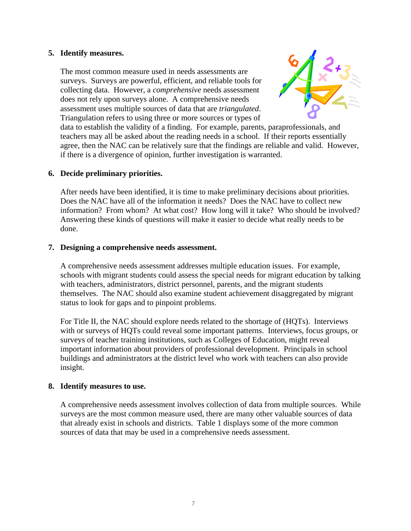#### **5. Identify measures.**

The most common measure used in needs assessments are surveys. Surveys are powerful, efficient, and reliable tools for collecting data. However, a *comprehensive* needs assessment does not rely upon surveys alone. A comprehensive needs assessment uses multiple sources of data that are *triangulated*. Triangulation refers to using three or more sources or types of



data to establish the validity of a finding. For example, parents, paraprofessionals, and teachers may all be asked about the reading needs in a school. If their reports essentially agree, then the NAC can be relatively sure that the findings are reliable and valid. However, if there is a divergence of opinion, further investigation is warranted.

#### **6. Decide preliminary priorities.**

After needs have been identified, it is time to make preliminary decisions about priorities. Does the NAC have all of the information it needs? Does the NAC have to collect new information? From whom? At what cost? How long will it take? Who should be involved? Answering these kinds of questions will make it easier to decide what really needs to be done.

#### **7. Designing a comprehensive needs assessment.**

A comprehensive needs assessment addresses multiple education issues. For example, schools with migrant students could assess the special needs for migrant education by talking with teachers, administrators, district personnel, parents, and the migrant students themselves. The NAC should also examine student achievement disaggregated by migrant status to look for gaps and to pinpoint problems.

For Title II, the NAC should explore needs related to the shortage of (HQTs). Interviews with or surveys of HQTs could reveal some important patterns. Interviews, focus groups, or surveys of teacher training institutions, such as Colleges of Education, might reveal important information about providers of professional development. Principals in school buildings and administrators at the district level who work with teachers can also provide insight.

#### **8. Identify measures to use.**

A comprehensive needs assessment involves collection of data from multiple sources. While surveys are the most common measure used, there are many other valuable sources of data that already exist in schools and districts. Table 1 displays some of the more common sources of data that may be used in a comprehensive needs assessment.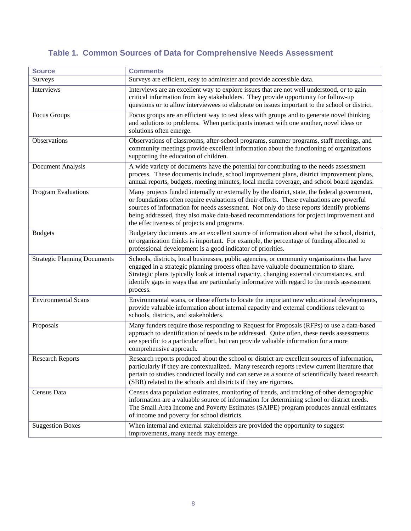# **Table 1. Common Sources of Data for Comprehensive Needs Assessment**

| <b>Source</b>                       | <b>Comments</b>                                                                                                                                                                                                                                                                                                                                                                                                                 |
|-------------------------------------|---------------------------------------------------------------------------------------------------------------------------------------------------------------------------------------------------------------------------------------------------------------------------------------------------------------------------------------------------------------------------------------------------------------------------------|
| Surveys                             | Surveys are efficient, easy to administer and provide accessible data.                                                                                                                                                                                                                                                                                                                                                          |
| Interviews                          | Interviews are an excellent way to explore issues that are not well understood, or to gain<br>critical information from key stakeholders. They provide opportunity for follow-up<br>questions or to allow interviewees to elaborate on issues important to the school or district.                                                                                                                                              |
| Focus Groups                        | Focus groups are an efficient way to test ideas with groups and to generate novel thinking<br>and solutions to problems. When participants interact with one another, novel ideas or<br>solutions often emerge.                                                                                                                                                                                                                 |
| Observations                        | Observations of classrooms, after-school programs, summer programs, staff meetings, and<br>community meetings provide excellent information about the functioning of organizations<br>supporting the education of children.                                                                                                                                                                                                     |
| Document Analysis                   | A wide variety of documents have the potential for contributing to the needs assessment<br>process. These documents include, school improvement plans, district improvement plans,<br>annual reports, budgets, meeting minutes, local media coverage, and school board agendas.                                                                                                                                                 |
| Program Evaluations                 | Many projects funded internally or externally by the district, state, the federal government,<br>or foundations often require evaluations of their efforts. These evaluations are powerful<br>sources of information for needs assessment. Not only do these reports identify problems<br>being addressed, they also make data-based recommendations for project improvement and<br>the effectiveness of projects and programs. |
| <b>Budgets</b>                      | Budgetary documents are an excellent source of information about what the school, district,<br>or organization thinks is important. For example, the percentage of funding allocated to<br>professional development is a good indicator of priorities.                                                                                                                                                                          |
| <b>Strategic Planning Documents</b> | Schools, districts, local businesses, public agencies, or community organizations that have<br>engaged in a strategic planning process often have valuable documentation to share.<br>Strategic plans typically look at internal capacity, changing external circumstances, and<br>identify gaps in ways that are particularly informative with regard to the needs assessment<br>process.                                      |
| <b>Environmental Scans</b>          | Environmental scans, or those efforts to locate the important new educational developments,<br>provide valuable information about internal capacity and external conditions relevant to<br>schools, districts, and stakeholders.                                                                                                                                                                                                |
| Proposals                           | Many funders require those responding to Request for Proposals (RFPs) to use a data-based<br>approach to identification of needs to be addressed. Quite often, these needs assessments<br>are specific to a particular effort, but can provide valuable information for a more<br>comprehensive approach.                                                                                                                       |
| <b>Research Reports</b>             | Research reports produced about the school or district are excellent sources of information,<br>particularly if they are contextualized. Many research reports review current literature that<br>pertain to studies conducted locally and can serve as a source of scientifically based research<br>(SBR) related to the schools and districts if they are rigorous.                                                            |
| Census Data                         | Census data population estimates, monitoring of trends, and tracking of other demographic<br>information are a valuable source of information for determining school or district needs.<br>The Small Area Income and Poverty Estimates (SAIPE) program produces annual estimates<br>of income and poverty for school districts.                                                                                                 |
| <b>Suggestion Boxes</b>             | When internal and external stakeholders are provided the opportunity to suggest<br>improvements, many needs may emerge.                                                                                                                                                                                                                                                                                                         |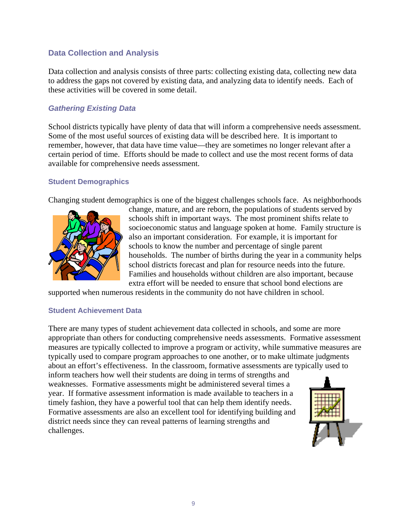## **Data Collection and Analysis**

Data collection and analysis consists of three parts: collecting existing data, collecting new data to address the gaps not covered by existing data, and analyzing data to identify needs. Each of these activities will be covered in some detail.

### *Gathering Existing Data*

School districts typically have plenty of data that will inform a comprehensive needs assessment. Some of the most useful sources of existing data will be described here. It is important to remember, however, that data have time value—they are sometimes no longer relevant after a certain period of time. Efforts should be made to collect and use the most recent forms of data available for comprehensive needs assessment.

#### **Student Demographics**

Changing student demographics is one of the biggest challenges schools face. As neighborhoods



change, mature, and are reborn, the populations of students served by schools shift in important ways. The most prominent shifts relate to socioeconomic status and language spoken at home. Family structure is also an important consideration. For example, it is important for schools to know the number and percentage of single parent households. The number of births during the year in a community helps school districts forecast and plan for resource needs into the future. Families and households without children are also important, because extra effort will be needed to ensure that school bond elections are

supported when numerous residents in the community do not have children in school.

#### **Student Achievement Data**

There are many types of student achievement data collected in schools, and some are more appropriate than others for conducting comprehensive needs assessments. Formative assessment measures are typically collected to improve a program or activity, while summative measures are typically used to compare program approaches to one another, or to make ultimate judgments about an effort's effectiveness. In the classroom, formative assessments are typically used to

inform teachers how well their students are doing in terms of strengths and weaknesses. Formative assessments might be administered several times a year. If formative assessment information is made available to teachers in a timely fashion, they have a powerful tool that can help them identify needs. Formative assessments are also an excellent tool for identifying building and district needs since they can reveal patterns of learning strengths and challenges.

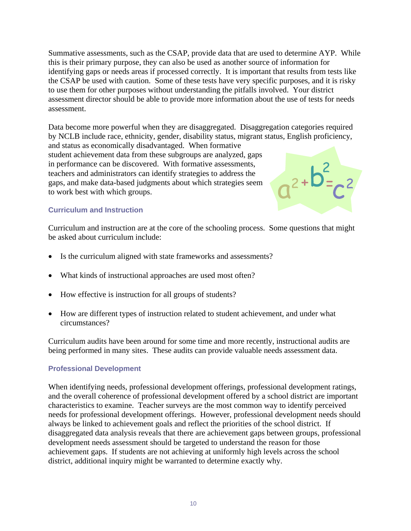Summative assessments, such as the CSAP, provide data that are used to determine AYP. While this is their primary purpose, they can also be used as another source of information for identifying gaps or needs areas if processed correctly. It is important that results from tests like the CSAP be used with caution. Some of these tests have very specific purposes, and it is risky to use them for other purposes without understanding the pitfalls involved. Your district assessment director should be able to provide more information about the use of tests for needs assessment.

Data become more powerful when they are disaggregated. Disaggregation categories required by NCLB include race, ethnicity, gender, disability status, migrant status, English proficiency,

and status as economically disadvantaged. When formative student achievement data from these subgroups are analyzed, gaps in performance can be discovered. With formative assessments, teachers and administrators can identify strategies to address the gaps, and make data-based judgments about which strategies seem to work best with which groups.



#### **Curriculum and Instruction**

Curriculum and instruction are at the core of the schooling process. Some questions that might be asked about curriculum include:

- Is the curriculum aligned with state frameworks and assessments?
- What kinds of instructional approaches are used most often?
- How effective is instruction for all groups of students?
- How are different types of instruction related to student achievement, and under what circumstances?

Curriculum audits have been around for some time and more recently, instructional audits are being performed in many sites. These audits can provide valuable needs assessment data.

#### **Professional Development**

When identifying needs, professional development offerings, professional development ratings, and the overall coherence of professional development offered by a school district are important characteristics to examine. Teacher surveys are the most common way to identify perceived needs for professional development offerings. However, professional development needs should always be linked to achievement goals and reflect the priorities of the school district. If disaggregated data analysis reveals that there are achievement gaps between groups, professional development needs assessment should be targeted to understand the reason for those achievement gaps. If students are not achieving at uniformly high levels across the school district, additional inquiry might be warranted to determine exactly why.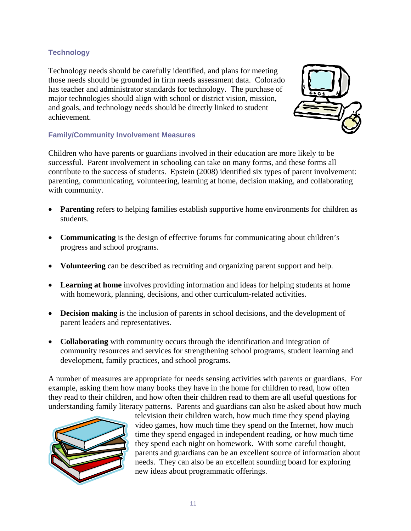#### **Technology**

Technology needs should be carefully identified, and plans for meeting those needs should be grounded in firm needs assessment data. Colorado has teacher and administrator standards for technology. The purchase of major technologies should align with school or district vision, mission, and goals, and technology needs should be directly linked to student achievement.



#### **Family/Community Involvement Measures**

Children who have parents or guardians involved in their education are more likely to be successful. Parent involvement in schooling can take on many forms, and these forms all contribute to the success of students. Epstein (2008) identified six types of parent involvement: parenting, communicating, volunteering, learning at home, decision making, and collaborating with community.

- **Parenting** refers to helping families establish supportive home environments for children as students.
- **Communicating** is the design of effective forums for communicating about children's progress and school programs.
- **Volunteering** can be described as recruiting and organizing parent support and help.
- **Learning at home** involves providing information and ideas for helping students at home with homework, planning, decisions, and other curriculum-related activities.
- **Decision making** is the inclusion of parents in school decisions, and the development of parent leaders and representatives.
- **Collaborating** with community occurs through the identification and integration of community resources and services for strengthening school programs, student learning and development, family practices, and school programs.

A number of measures are appropriate for needs sensing activities with parents or guardians. For example, asking them how many books they have in the home for children to read, how often they read to their children, and how often their children read to them are all useful questions for understanding family literacy patterns. Parents and guardians can also be asked about how much



television their children watch, how much time they spend playing video games, how much time they spend on the Internet, how much time they spend engaged in independent reading, or how much time they spend each night on homework. With some careful thought, parents and guardians can be an excellent source of information about needs. They can also be an excellent sounding board for exploring new ideas about programmatic offerings.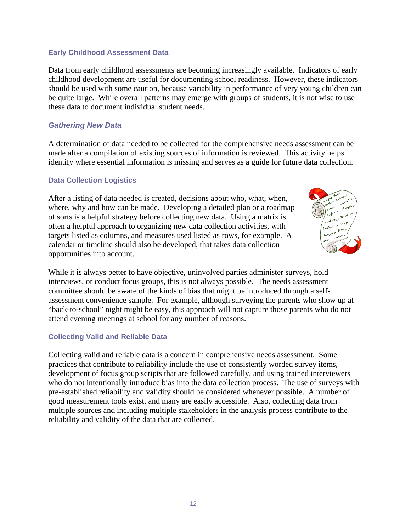#### **Early Childhood Assessment Data**

Data from early childhood assessments are becoming increasingly available. Indicators of early childhood development are useful for documenting school readiness. However, these indicators should be used with some caution, because variability in performance of very young children can be quite large. While overall patterns may emerge with groups of students, it is not wise to use these data to document individual student needs.

#### *Gathering New Data*

A determination of data needed to be collected for the comprehensive needs assessment can be made after a compilation of existing sources of information is reviewed. This activity helps identify where essential information is missing and serves as a guide for future data collection.

#### **Data Collection Logistics**

After a listing of data needed is created, decisions about who, what, when, where, why and how can be made. Developing a detailed plan or a roadmap of sorts is a helpful strategy before collecting new data. Using a matrix is often a helpful approach to organizing new data collection activities, with targets listed as columns, and measures used listed as rows, for example. A calendar or timeline should also be developed, that takes data collection opportunities into account.



While it is always better to have objective, uninvolved parties administer surveys, hold interviews, or conduct focus groups, this is not always possible. The needs assessment committee should be aware of the kinds of bias that might be introduced through a selfassessment convenience sample. For example, although surveying the parents who show up at "back-to-school" night might be easy, this approach will not capture those parents who do not attend evening meetings at school for any number of reasons.

#### **Collecting Valid and Reliable Data**

Collecting valid and reliable data is a concern in comprehensive needs assessment. Some practices that contribute to reliability include the use of consistently worded survey items, development of focus group scripts that are followed carefully, and using trained interviewers who do not intentionally introduce bias into the data collection process. The use of surveys with pre-established reliability and validity should be considered whenever possible. A number of good measurement tools exist, and many are easily accessible. Also, collecting data from multiple sources and including multiple stakeholders in the analysis process contribute to the reliability and validity of the data that are collected.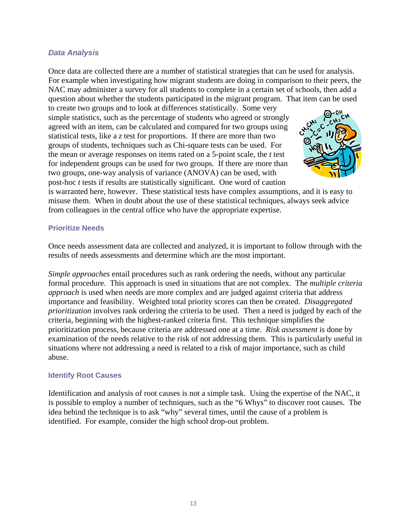#### *Data Analysis*

Once data are collected there are a number of statistical strategies that can be used for analysis. For example when investigating how migrant students are doing in comparison to their peers, the NAC may administer a survey for all students to complete in a certain set of schools, then add a question about whether the students participated in the migrant program. That item can be used to create two groups and to look at differences statistically. Some very

simple statistics, such as the percentage of students who agreed or strongly agreed with an item, can be calculated and compared for two groups using statistical tests, like a *z* test for proportions. If there are more than two groups of students, techniques such as Chi-square tests can be used. For the mean or average responses on items rated on a 5-point scale, the *t* test for independent groups can be used for two groups. If there are more than two groups, one-way analysis of variance (ANOVA) can be used, with post-hoc *t* tests if results are statistically significant. One word of caution



is warranted here, however. These statistical tests have complex assumptions, and it is easy to misuse them. When in doubt about the use of these statistical techniques, always seek advice from colleagues in the central office who have the appropriate expertise.

#### **Prioritize Needs**

Once needs assessment data are collected and analyzed, it is important to follow through with the results of needs assessments and determine which are the most important.

*Simple approaches* entail procedures such as rank ordering the needs, without any particular formal procedure. This approach is used in situations that are not complex. The *multiple criteria approach* is used when needs are more complex and are judged against criteria that address importance and feasibility. Weighted total priority scores can then be created. *Disaggregated prioritization* involves rank ordering the criteria to be used. Then a need is judged by each of the criteria, beginning with the highest-ranked criteria first. This technique simplifies the prioritization process, because criteria are addressed one at a time. *Risk assessment* is done by examination of the needs relative to the risk of not addressing them. This is particularly useful in situations where not addressing a need is related to a risk of major importance, such as child abuse.

#### **Identify Root Causes**

Identification and analysis of root causes is not a simple task. Using the expertise of the NAC, it is possible to employ a number of techniques, such as the "6 Whys" to discover root causes. The idea behind the technique is to ask "why" several times, until the cause of a problem is identified. For example, consider the high school drop-out problem.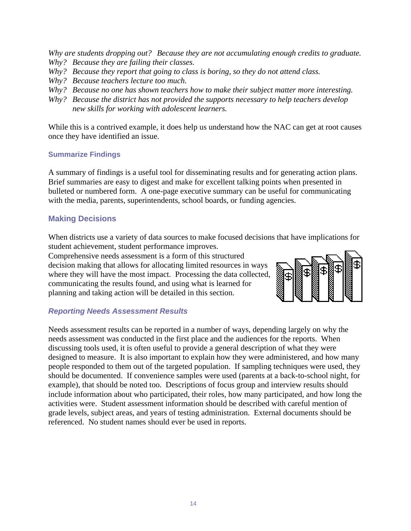*Why are students dropping out? Because they are not accumulating enough credits to graduate. Why? Because they are failing their classes.* 

- *Why? Because they report that going to class is boring, so they do not attend class.*
- *Why? Because teachers lecture too much.*
- *Why? Because no one has shown teachers how to make their subject matter more interesting.*
- *Why? Because the district has not provided the supports necessary to help teachers develop new skills for working with adolescent learners.*

While this is a contrived example, it does help us understand how the NAC can get at root causes once they have identified an issue.

#### **Summarize Findings**

A summary of findings is a useful tool for disseminating results and for generating action plans. Brief summaries are easy to digest and make for excellent talking points when presented in bulleted or numbered form. A one-page executive summary can be useful for communicating with the media, parents, superintendents, school boards, or funding agencies.

# **Making Decisions**

When districts use a variety of data sources to make focused decisions that have implications for student achievement, student performance improves.

Comprehensive needs assessment is a form of this structured decision making that allows for allocating limited resources in ways where they will have the most impact. Processing the data collected, communicating the results found, and using what is learned for planning and taking action will be detailed in this section.



### *Reporting Needs Assessment Results*

Needs assessment results can be reported in a number of ways, depending largely on why the needs assessment was conducted in the first place and the audiences for the reports. When discussing tools used, it is often useful to provide a general description of what they were designed to measure. It is also important to explain how they were administered, and how many people responded to them out of the targeted population. If sampling techniques were used, they should be documented. If convenience samples were used (parents at a back-to-school night, for example), that should be noted too. Descriptions of focus group and interview results should include information about who participated, their roles, how many participated, and how long the activities were. Student assessment information should be described with careful mention of grade levels, subject areas, and years of testing administration. External documents should be referenced. No student names should ever be used in reports.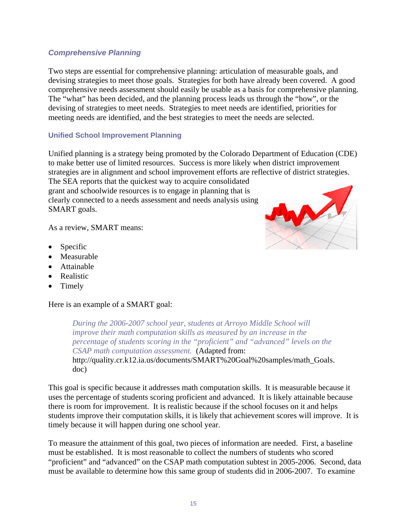#### *Comprehensive Planning*

Two steps are essential for comprehensive planning: articulation of measurable goals, and devising strategies to meet those goals. Strategies for both have already been covered. A good comprehensive needs assessment should easily be usable as a basis for comprehensive planning. The "what" has been decided, and the planning process leads us through the "how", or the devising of strategies to meet needs. Strategies to meet needs are identified, priorities for meeting needs are identified, and the best strategies to meet the needs are selected.

#### **Unified School Improvement Planning**

Unified planning is a strategy being promoted by the Colorado Department of Education (CDE) to make better use of limited resources. Success is more likely when district improvement strategies are in alignment and school improvement efforts are reflective of district strategies.

The SEA reports that the quickest way to acquire consolidated grant and schoolwide resources is to engage in planning that is clearly connected to a needs assessment and needs analysis using SMART goals.

As a review, SMART means:

- Specific
- Measurable
- Attainable
- Realistic
- Timely

Here is an example of a SMART goal:

*During the 2006-2007 school year, students at Arroyo Middle School will improve their math computation skills as measured by an increase in the percentage of students scoring in the "proficient" and "advanced" levels on the CSAP math computation assessment.* (Adapted from: http://quality.cr.k12.ia.us/documents/SMART%20Goal%20samples/math\_Goals. doc)

This goal is specific because it addresses math computation skills. It is measurable because it uses the percentage of students scoring proficient and advanced. It is likely attainable because there is room for improvement. It is realistic because if the school focuses on it and helps students improve their computation skills, it is likely that achievement scores will improve. It is timely because it will happen during one school year.

To measure the attainment of this goal, two pieces of information are needed. First, a baseline must be established. It is most reasonable to collect the numbers of students who scored "proficient" and "advanced" on the CSAP math computation subtest in 2005-2006. Second, data must be available to determine how this same group of students did in 2006-2007. To examine

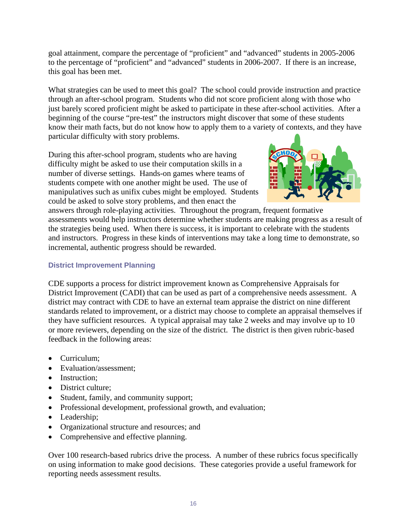goal attainment, compare the percentage of "proficient" and "advanced" students in 2005-2006 to the percentage of "proficient" and "advanced" students in 2006-2007. If there is an increase, this goal has been met.

What strategies can be used to meet this goal? The school could provide instruction and practice through an after-school program. Students who did not score proficient along with those who just barely scored proficient might be asked to participate in these after-school activities. After a beginning of the course "pre-test" the instructors might discover that some of these students know their math facts, but do not know how to apply them to a variety of contexts, and they have particular difficulty with story problems.

During this after-school program, students who are having difficulty might be asked to use their computation skills in a number of diverse settings. Hands-on games where teams of students compete with one another might be used. The use of manipulatives such as unifix cubes might be employed. Students could be asked to solve story problems, and then enact the



answers through role-playing activities. Throughout the program, frequent formative assessments would help instructors determine whether students are making progress as a result of the strategies being used. When there is success, it is important to celebrate with the students and instructors. Progress in these kinds of interventions may take a long time to demonstrate, so incremental, authentic progress should be rewarded.

#### **District Improvement Planning**

CDE supports a process for district improvement known as Comprehensive Appraisals for District Improvement (CADI) that can be used as part of a comprehensive needs assessment. A district may contract with CDE to have an external team appraise the district on nine different standards related to improvement, or a district may choose to complete an appraisal themselves if they have sufficient resources. A typical appraisal may take 2 weeks and may involve up to 10 or more reviewers, depending on the size of the district. The district is then given rubric-based feedback in the following areas:

- Curriculum;
- Evaluation/assessment:
- Instruction:
- District culture;
- Student, family, and community support;
- Professional development, professional growth, and evaluation;
- Leadership;
- Organizational structure and resources; and
- Comprehensive and effective planning.

Over 100 research-based rubrics drive the process. A number of these rubrics focus specifically on using information to make good decisions. These categories provide a useful framework for reporting needs assessment results.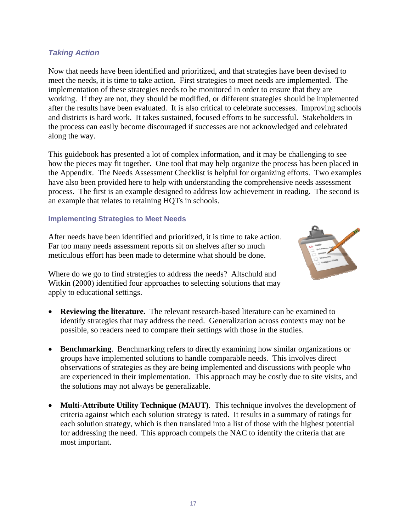#### *Taking Action*

Now that needs have been identified and prioritized, and that strategies have been devised to meet the needs, it is time to take action. First strategies to meet needs are implemented. The implementation of these strategies needs to be monitored in order to ensure that they are working. If they are not, they should be modified, or different strategies should be implemented after the results have been evaluated. It is also critical to celebrate successes. Improving schools and districts is hard work. It takes sustained, focused efforts to be successful. Stakeholders in the process can easily become discouraged if successes are not acknowledged and celebrated along the way.

This guidebook has presented a lot of complex information, and it may be challenging to see how the pieces may fit together. One tool that may help organize the process has been placed in the Appendix. The Needs Assessment Checklist is helpful for organizing efforts. Two examples have also been provided here to help with understanding the comprehensive needs assessment process. The first is an example designed to address low achievement in reading. The second is an example that relates to retaining HQTs in schools.

#### **Implementing Strategies to Meet Needs**

After needs have been identified and prioritized, it is time to take action. Far too many needs assessment reports sit on shelves after so much meticulous effort has been made to determine what should be done.



Where do we go to find strategies to address the needs? Altschuld and Witkin (2000) identified four approaches to selecting solutions that may apply to educational settings.

- **Reviewing the literature.** The relevant research-based literature can be examined to identify strategies that may address the need. Generalization across contexts may not be possible, so readers need to compare their settings with those in the studies.
- **Benchmarking**.Benchmarking refers to directly examining how similar organizations or groups have implemented solutions to handle comparable needs. This involves direct observations of strategies as they are being implemented and discussions with people who are experienced in their implementation. This approach may be costly due to site visits, and the solutions may not always be generalizable.
- **Multi-Attribute Utility Technique (MAUT)**. This technique involves the development of criteria against which each solution strategy is rated. It results in a summary of ratings for each solution strategy, which is then translated into a list of those with the highest potential for addressing the need. This approach compels the NAC to identify the criteria that are most important.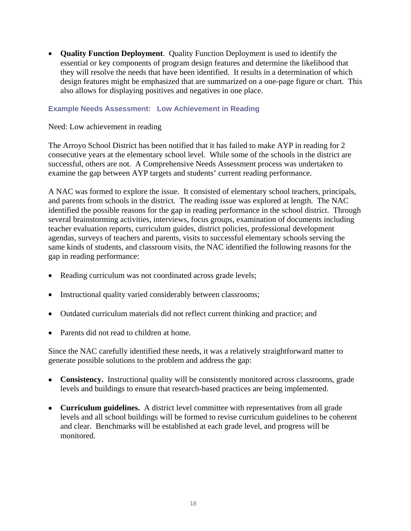• **Quality Function Deployment**. Quality Function Deployment is used to identify the essential or key components of program design features and determine the likelihood that they will resolve the needs that have been identified. It results in a determination of which design features might be emphasized that are summarized on a one-page figure or chart. This also allows for displaying positives and negatives in one place.

#### **Example Needs Assessment: Low Achievement in Reading**

Need: Low achievement in reading

The Arroyo School District has been notified that it has failed to make AYP in reading for 2 consecutive years at the elementary school level. While some of the schools in the district are successful, others are not. A Comprehensive Needs Assessment process was undertaken to examine the gap between AYP targets and students' current reading performance.

A NAC was formed to explore the issue. It consisted of elementary school teachers, principals, and parents from schools in the district. The reading issue was explored at length. The NAC identified the possible reasons for the gap in reading performance in the school district. Through several brainstorming activities, interviews, focus groups, examination of documents including teacher evaluation reports, curriculum guides, district policies, professional development agendas, surveys of teachers and parents, visits to successful elementary schools serving the same kinds of students, and classroom visits, the NAC identified the following reasons for the gap in reading performance:

- Reading curriculum was not coordinated across grade levels;
- Instructional quality varied considerably between classrooms;
- Outdated curriculum materials did not reflect current thinking and practice; and
- Parents did not read to children at home.

Since the NAC carefully identified these needs, it was a relatively straightforward matter to generate possible solutions to the problem and address the gap:

- **Consistency.** Instructional quality will be consistently monitored across classrooms, grade levels and buildings to ensure that research-based practices are being implemented.
- **Curriculum guidelines.** A district level committee with representatives from all grade levels and all school buildings will be formed to revise curriculum guidelines to be coherent and clear. Benchmarks will be established at each grade level, and progress will be monitored.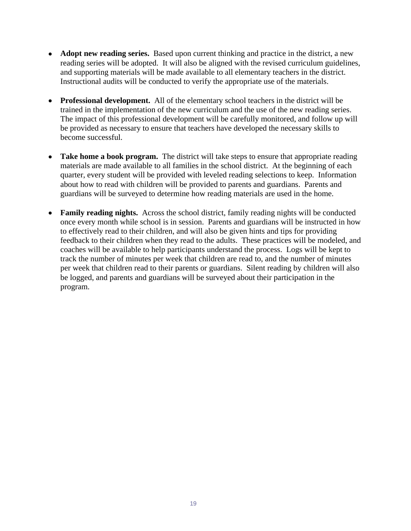- **Adopt new reading series.** Based upon current thinking and practice in the district, a new reading series will be adopted. It will also be aligned with the revised curriculum guidelines, and supporting materials will be made available to all elementary teachers in the district. Instructional audits will be conducted to verify the appropriate use of the materials.
- **Professional development.** All of the elementary school teachers in the district will be trained in the implementation of the new curriculum and the use of the new reading series. The impact of this professional development will be carefully monitored, and follow up will be provided as necessary to ensure that teachers have developed the necessary skills to become successful.
- **Take home a book program.** The district will take steps to ensure that appropriate reading materials are made available to all families in the school district. At the beginning of each quarter, every student will be provided with leveled reading selections to keep. Information about how to read with children will be provided to parents and guardians. Parents and guardians will be surveyed to determine how reading materials are used in the home.
- **Family reading nights.** Across the school district, family reading nights will be conducted once every month while school is in session. Parents and guardians will be instructed in how to effectively read to their children, and will also be given hints and tips for providing feedback to their children when they read to the adults. These practices will be modeled, and coaches will be available to help participants understand the process. Logs will be kept to track the number of minutes per week that children are read to, and the number of minutes per week that children read to their parents or guardians. Silent reading by children will also be logged, and parents and guardians will be surveyed about their participation in the program.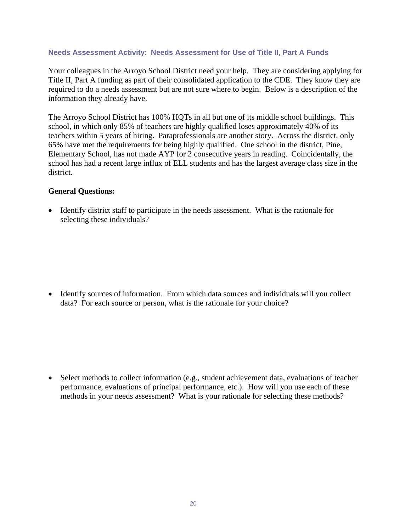#### **Needs Assessment Activity: Needs Assessment for Use of Title II, Part A Funds**

Your colleagues in the Arroyo School District need your help. They are considering applying for Title II, Part A funding as part of their consolidated application to the CDE. They know they are required to do a needs assessment but are not sure where to begin. Below is a description of the information they already have.

The Arroyo School District has 100% HQTs in all but one of its middle school buildings. This school, in which only 85% of teachers are highly qualified loses approximately 40% of its teachers within 5 years of hiring. Paraprofessionals are another story. Across the district, only 65% have met the requirements for being highly qualified. One school in the district, Pine, Elementary School, has not made AYP for 2 consecutive years in reading. Coincidentally, the school has had a recent large influx of ELL students and has the largest average class size in the district.

#### **General Questions:**

• Identify district staff to participate in the needs assessment. What is the rationale for selecting these individuals?

• Identify sources of information. From which data sources and individuals will you collect data? For each source or person, what is the rationale for your choice?

• Select methods to collect information (e.g., student achievement data, evaluations of teacher performance, evaluations of principal performance, etc.). How will you use each of these methods in your needs assessment? What is your rationale for selecting these methods?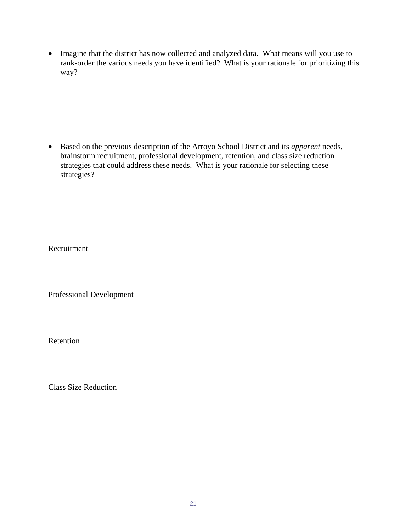• Imagine that the district has now collected and analyzed data. What means will you use to rank-order the various needs you have identified? What is your rationale for prioritizing this way?

• Based on the previous description of the Arroyo School District and its *apparent* needs, brainstorm recruitment, professional development, retention, and class size reduction strategies that could address these needs. What is your rationale for selecting these strategies?

Recruitment

Professional Development

Retention

Class Size Reduction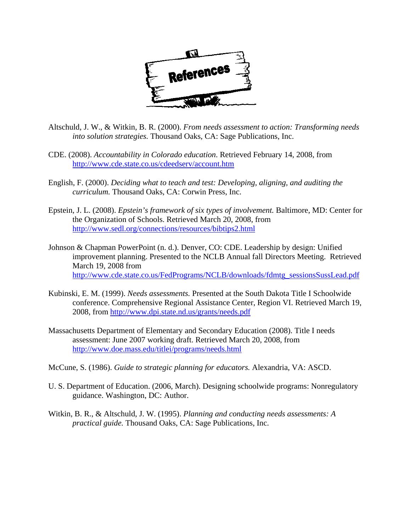

- Altschuld, J. W., & Witkin, B. R. (2000). *From needs assessment to action: Transforming needs into solution strategies.* Thousand Oaks, CA: Sage Publications, Inc.
- CDE. (2008). *Accountability in Colorado education*. Retrieved February 14, 2008, from http://www.cde.state.co.us/cdeedserv/account.htm
- English, F. (2000). *Deciding what to teach and test: Developing, aligning, and auditing the curriculum.* Thousand Oaks, CA: Corwin Press, Inc.
- Epstein, J. L. (2008). *Epstein's framework of six types of involvement.* Baltimore, MD: Center for the Organization of Schools. Retrieved March 20, 2008, from http://www.sedl.org/connections/resources/bibtips2.html
- Johnson & Chapman PowerPoint (n. d.). Denver, CO: CDE. Leadership by design: Unified improvement planning. Presented to the NCLB Annual fall Directors Meeting. Retrieved March 19, 2008 from http://www.cde.state.co.us/FedPrograms/NCLB/downloads/fdmtg\_sessionsSussLead.pdf
- Kubinski, E. M. (1999). *Needs assessments.* Presented at the South Dakota Title I Schoolwide conference. Comprehensive Regional Assistance Center, Region VI. Retrieved March 19, 2008, from http://www.dpi.state.nd.us/grants/needs.pdf
- Massachusetts Department of Elementary and Secondary Education (2008). Title I needs assessment: June 2007 working draft. Retrieved March 20, 2008, from http://www.doe.mass.edu/titlei/programs/needs.html
- McCune, S. (1986). *Guide to strategic planning for educators.* Alexandria, VA: ASCD.
- U. S. Department of Education. (2006, March). Designing schoolwide programs: Nonregulatory guidance. Washington, DC: Author.
- Witkin, B. R., & Altschuld, J. W. (1995). *Planning and conducting needs assessments: A practical guide.* Thousand Oaks, CA: Sage Publications, Inc.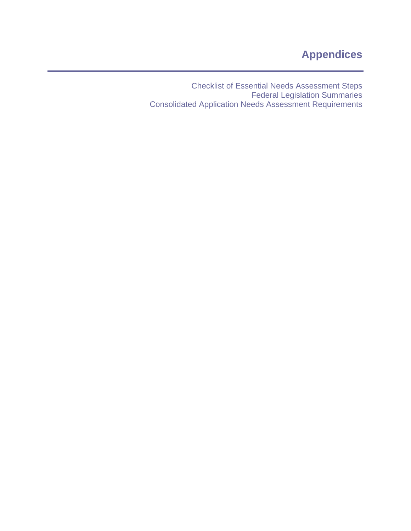Checklist of Essential Needs Assessment Steps Federal Legislation Summaries Consolidated Application Needs Assessment Requirements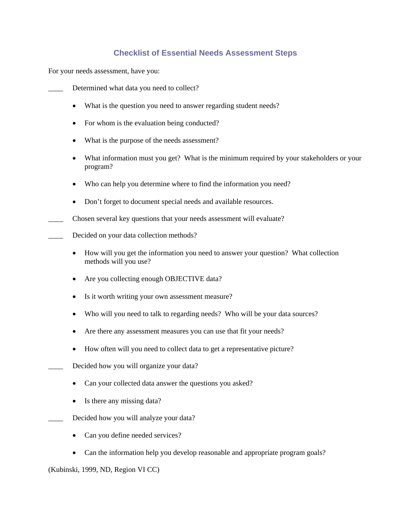# **Checklist of Essential Needs Assessment Steps**

For your needs assessment, have you:

Determined what data you need to collect?

- What is the question you need to answer regarding student needs?
- For whom is the evaluation being conducted?
- What is the purpose of the needs assessment?
- What information must you get? What is the minimum required by your stakeholders or your program?
- Who can help you determine where to find the information you need?
- Don't forget to document special needs and available resources.

Chosen several key questions that your needs assessment will evaluate?

- Decided on your data collection methods?
	- How will you get the information you need to answer your question? What collection methods will you use?
	- Are you collecting enough OBJECTIVE data?
	- Is it worth writing your own assessment measure?
	- Who will you need to talk to regarding needs? Who will be your data sources?
	- Are there any assessment measures you can use that fit your needs?
	- How often will you need to collect data to get a representative picture?
- Decided how you will organize your data?
	- Can your collected data answer the questions you asked?
	- Is there any missing data?
	- Decided how you will analyze your data?
		- Can you define needed services?
		- Can the information help you develop reasonable and appropriate program goals?

#### (Kubinski, 1999, ND, Region VI CC)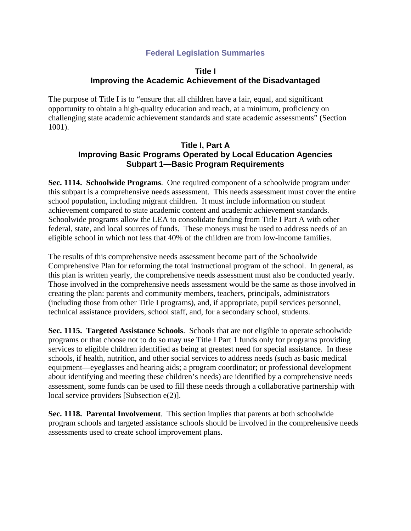# **Federal Legislation Summaries**

## **Title I Improving the Academic Achievement of the Disadvantaged**

The purpose of Title I is to "ensure that all children have a fair, equal, and significant opportunity to obtain a high-quality education and reach, at a minimum, proficiency on challenging state academic achievement standards and state academic assessments" (Section 1001).

### **Title I, Part A Improving Basic Programs Operated by Local Education Agencies Subpart 1—Basic Program Requirements**

**Sec. 1114. Schoolwide Programs**. One required component of a schoolwide program under this subpart is a comprehensive needs assessment. This needs assessment must cover the entire school population, including migrant children. It must include information on student achievement compared to state academic content and academic achievement standards. Schoolwide programs allow the LEA to consolidate funding from Title I Part A with other federal, state, and local sources of funds. These moneys must be used to address needs of an eligible school in which not less that 40% of the children are from low-income families.

The results of this comprehensive needs assessment become part of the Schoolwide Comprehensive Plan for reforming the total instructional program of the school. In general, as this plan is written yearly, the comprehensive needs assessment must also be conducted yearly. Those involved in the comprehensive needs assessment would be the same as those involved in creating the plan: parents and community members, teachers, principals, administrators (including those from other Title I programs), and, if appropriate, pupil services personnel, technical assistance providers, school staff, and, for a secondary school, students.

**Sec. 1115. Targeted Assistance Schools**. Schools that are not eligible to operate schoolwide programs or that choose not to do so may use Title I Part 1 funds only for programs providing services to eligible children identified as being at greatest need for special assistance. In these schools, if health, nutrition, and other social services to address needs (such as basic medical equipment—eyeglasses and hearing aids; a program coordinator; or professional development about identifying and meeting these children's needs) are identified by a comprehensive needs assessment, some funds can be used to fill these needs through a collaborative partnership with local service providers [Subsection e(2)].

**Sec. 1118. Parental Involvement**. This section implies that parents at both schoolwide program schools and targeted assistance schools should be involved in the comprehensive needs assessments used to create school improvement plans.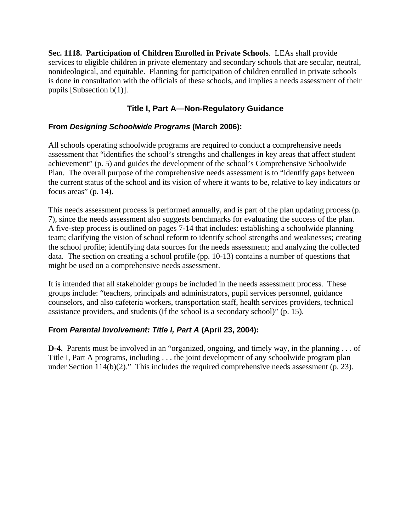**Sec. 1118. Participation of Children Enrolled in Private Schools**. LEAs shall provide services to eligible children in private elementary and secondary schools that are secular, neutral, nonideological, and equitable. Planning for participation of children enrolled in private schools is done in consultation with the officials of these schools, and implies a needs assessment of their pupils [Subsection b(1)].

# **Title I, Part A—Non-Regulatory Guidance**

# **From** *Designing Schoolwide Programs* **(March 2006):**

All schools operating schoolwide programs are required to conduct a comprehensive needs assessment that "identifies the school's strengths and challenges in key areas that affect student achievement" (p. 5) and guides the development of the school's Comprehensive Schoolwide Plan. The overall purpose of the comprehensive needs assessment is to "identify gaps between the current status of the school and its vision of where it wants to be, relative to key indicators or focus areas" (p. 14).

This needs assessment process is performed annually, and is part of the plan updating process (p. 7), since the needs assessment also suggests benchmarks for evaluating the success of the plan. A five-step process is outlined on pages 7-14 that includes: establishing a schoolwide planning team; clarifying the vision of school reform to identify school strengths and weaknesses; creating the school profile; identifying data sources for the needs assessment; and analyzing the collected data. The section on creating a school profile (pp. 10-13) contains a number of questions that might be used on a comprehensive needs assessment.

It is intended that all stakeholder groups be included in the needs assessment process. These groups include: "teachers, principals and administrators, pupil services personnel, guidance counselors, and also cafeteria workers, transportation staff, health services providers, technical assistance providers, and students (if the school is a secondary school)" (p. 15).

# **From** *Parental Involvement: Title I, Part A* **(April 23, 2004):**

**D-4.** Parents must be involved in an "organized, ongoing, and timely way, in the planning . . . of Title I, Part A programs, including . . . the joint development of any schoolwide program plan under Section 114(b)(2)." This includes the required comprehensive needs assessment (p. 23).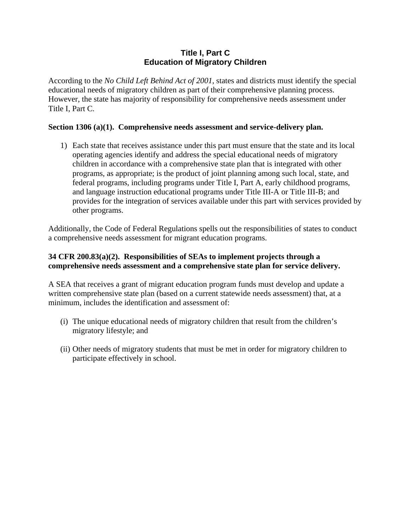## **Title I, Part C Education of Migratory Children**

According to the *No Child Left Behind Act of 2001*, states and districts must identify the special educational needs of migratory children as part of their comprehensive planning process. However, the state has majority of responsibility for comprehensive needs assessment under Title I, Part C.

## **Section 1306 (a)(1). Comprehensive needs assessment and service-delivery plan.**

1) Each state that receives assistance under this part must ensure that the state and its local operating agencies identify and address the special educational needs of migratory children in accordance with a comprehensive state plan that is integrated with other programs, as appropriate; is the product of joint planning among such local, state, and federal programs, including programs under Title I, Part A, early childhood programs, and language instruction educational programs under Title III-A or Title III-B; and provides for the integration of services available under this part with services provided by other programs.

Additionally, the Code of Federal Regulations spells out the responsibilities of states to conduct a comprehensive needs assessment for migrant education programs.

#### **34 CFR 200.83(a)(2). Responsibilities of SEAs to implement projects through a comprehensive needs assessment and a comprehensive state plan for service delivery.**

A SEA that receives a grant of migrant education program funds must develop and update a written comprehensive state plan (based on a current statewide needs assessment) that, at a minimum, includes the identification and assessment of:

- (i) The unique educational needs of migratory children that result from the children's migratory lifestyle; and
- (ii) Other needs of migratory students that must be met in order for migratory children to participate effectively in school.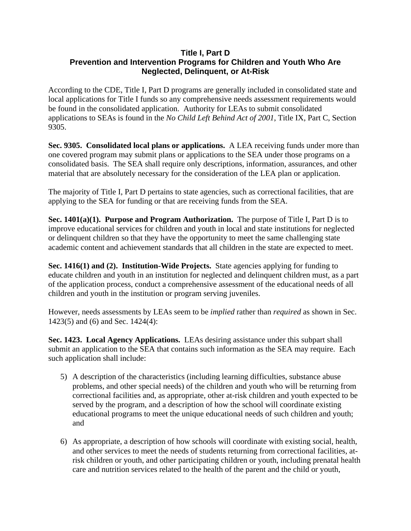## **Title I, Part D Prevention and Intervention Programs for Children and Youth Who Are Neglected, Delinquent, or At-Risk**

According to the CDE, Title I, Part D programs are generally included in consolidated state and local applications for Title I funds so any comprehensive needs assessment requirements would be found in the consolidated application. Authority for LEAs to submit consolidated applications to SEAs is found in the *No Child Left Behind Act of 2001*, Title IX, Part C, Section 9305.

**Sec. 9305. Consolidated local plans or applications.** A LEA receiving funds under more than one covered program may submit plans or applications to the SEA under those programs on a consolidated basis. The SEA shall require only descriptions, information, assurances, and other material that are absolutely necessary for the consideration of the LEA plan or application.

The majority of Title I, Part D pertains to state agencies, such as correctional facilities, that are applying to the SEA for funding or that are receiving funds from the SEA.

**Sec. 1401(a)(1). Purpose and Program Authorization.** The purpose of Title I, Part D is to improve educational services for children and youth in local and state institutions for neglected or delinquent children so that they have the opportunity to meet the same challenging state academic content and achievement standards that all children in the state are expected to meet.

**Sec. 1416(1) and (2). Institution-Wide Projects.** State agencies applying for funding to educate children and youth in an institution for neglected and delinquent children must, as a part of the application process, conduct a comprehensive assessment of the educational needs of all children and youth in the institution or program serving juveniles.

However, needs assessments by LEAs seem to be *implied* rather than *required* as shown in Sec. 1423(5) and (6) and Sec. 1424(4):

**Sec. 1423. Local Agency Applications.** LEAs desiring assistance under this subpart shall submit an application to the SEA that contains such information as the SEA may require. Each such application shall include:

- 5) A description of the characteristics (including learning difficulties, substance abuse problems, and other special needs) of the children and youth who will be returning from correctional facilities and, as appropriate, other at-risk children and youth expected to be served by the program, and a description of how the school will coordinate existing educational programs to meet the unique educational needs of such children and youth; and
- 6) As appropriate, a description of how schools will coordinate with existing social, health, and other services to meet the needs of students returning from correctional facilities, atrisk children or youth, and other participating children or youth, including prenatal health care and nutrition services related to the health of the parent and the child or youth,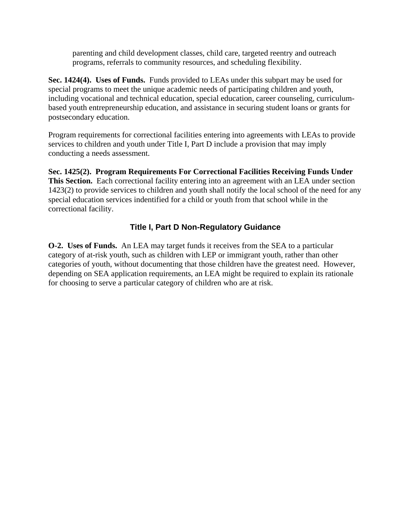parenting and child development classes, child care, targeted reentry and outreach programs, referrals to community resources, and scheduling flexibility.

**Sec. 1424(4). Uses of Funds.** Funds provided to LEAs under this subpart may be used for special programs to meet the unique academic needs of participating children and youth, including vocational and technical education, special education, career counseling, curriculumbased youth entrepreneurship education, and assistance in securing student loans or grants for postsecondary education.

Program requirements for correctional facilities entering into agreements with LEAs to provide services to children and youth under Title I, Part D include a provision that may imply conducting a needs assessment.

**Sec. 1425(2). Program Requirements For Correctional Facilities Receiving Funds Under This Section.** Each correctional facility entering into an agreement with an LEA under section 1423(2) to provide services to children and youth shall notify the local school of the need for any special education services indentified for a child or youth from that school while in the correctional facility.

# **Title I, Part D Non-Regulatory Guidance**

**O-2. Uses of Funds.** An LEA may target funds it receives from the SEA to a particular category of at-risk youth, such as children with LEP or immigrant youth, rather than other categories of youth, without documenting that those children have the greatest need. However, depending on SEA application requirements, an LEA might be required to explain its rationale for choosing to serve a particular category of children who are at risk.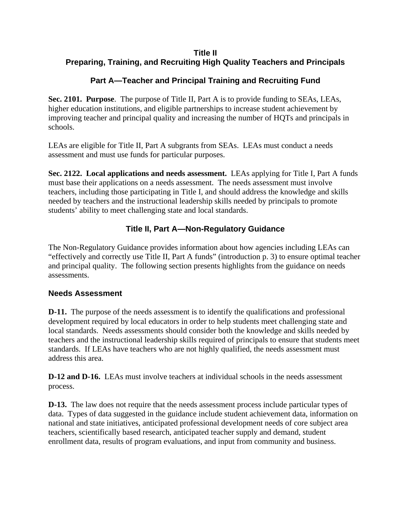# **Title II Preparing, Training, and Recruiting High Quality Teachers and Principals**

# **Part A—Teacher and Principal Training and Recruiting Fund**

**Sec. 2101. Purpose**. The purpose of Title II, Part A is to provide funding to SEAs, LEAs, higher education institutions, and eligible partnerships to increase student achievement by improving teacher and principal quality and increasing the number of HQTs and principals in schools.

LEAs are eligible for Title II, Part A subgrants from SEAs. LEAs must conduct a needs assessment and must use funds for particular purposes.

**Sec. 2122. Local applications and needs assessment.** LEAs applying for Title I, Part A funds must base their applications on a needs assessment. The needs assessment must involve teachers, including those participating in Title I, and should address the knowledge and skills needed by teachers and the instructional leadership skills needed by principals to promote students' ability to meet challenging state and local standards.

# **Title II, Part A—Non-Regulatory Guidance**

The Non-Regulatory Guidance provides information about how agencies including LEAs can "effectively and correctly use Title II, Part A funds" (introduction p. 3) to ensure optimal teacher and principal quality. The following section presents highlights from the guidance on needs assessments.

# **Needs Assessment**

**D-11.** The purpose of the needs assessment is to identify the qualifications and professional development required by local educators in order to help students meet challenging state and local standards. Needs assessments should consider both the knowledge and skills needed by teachers and the instructional leadership skills required of principals to ensure that students meet standards. If LEAs have teachers who are not highly qualified, the needs assessment must address this area.

**D-12 and D-16.** LEAs must involve teachers at individual schools in the needs assessment process.

**D-13.** The law does not require that the needs assessment process include particular types of data. Types of data suggested in the guidance include student achievement data, information on national and state initiatives, anticipated professional development needs of core subject area teachers, scientifically based research, anticipated teacher supply and demand, student enrollment data, results of program evaluations, and input from community and business.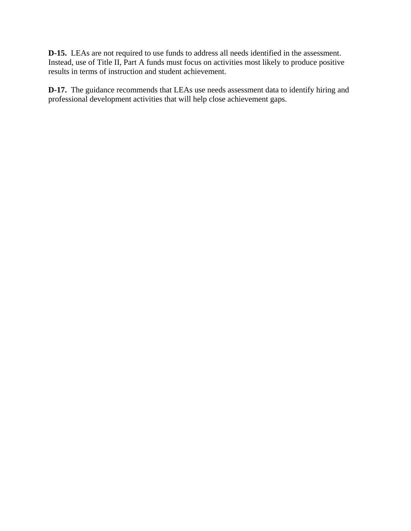**D-15.** LEAs are not required to use funds to address all needs identified in the assessment. Instead, use of Title II, Part A funds must focus on activities most likely to produce positive results in terms of instruction and student achievement.

**D-17.** The guidance recommends that LEAs use needs assessment data to identify hiring and professional development activities that will help close achievement gaps.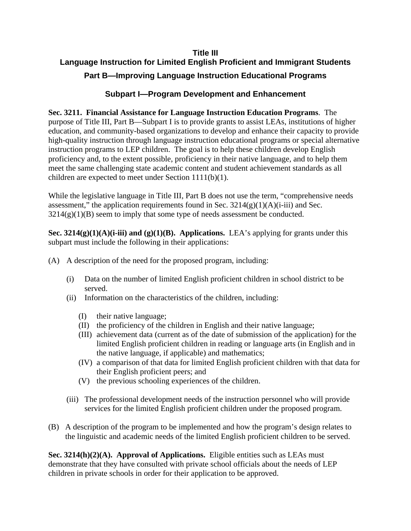# **Title III Language Instruction for Limited English Proficient and Immigrant Students Part B—Improving Language Instruction Educational Programs**

# **Subpart I—Program Development and Enhancement**

**Sec. 3211. Financial Assistance for Language Instruction Education Programs**. The purpose of Title III, Part B—Subpart I is to provide grants to assist LEAs, institutions of higher education, and community-based organizations to develop and enhance their capacity to provide high-quality instruction through language instruction educational programs or special alternative instruction programs to LEP children. The goal is to help these children develop English proficiency and, to the extent possible, proficiency in their native language, and to help them meet the same challenging state academic content and student achievement standards as all children are expected to meet under Section 1111(b)(1).

While the legislative language in Title III, Part B does not use the term, "comprehensive needs" assessment," the application requirements found in Sec.  $3214(g)(1)(A)(i-iii)$  and Sec.  $3214(g)(1)(B)$  seem to imply that some type of needs assessment be conducted.

**Sec. 3214(g)(1)(A)(i-iii) and (g)(1)(B). Applications.** LEA's applying for grants under this subpart must include the following in their applications:

- (A) A description of the need for the proposed program, including:
	- (i) Data on the number of limited English proficient children in school district to be served.
	- (ii) Information on the characteristics of the children, including:
		- (I) their native language;
		- (II) the proficiency of the children in English and their native language;
		- (III) achievement data (current as of the date of submission of the application) for the limited English proficient children in reading or language arts (in English and in the native language, if applicable) and mathematics;
		- (IV) a comparison of that data for limited English proficient children with that data for their English proficient peers; and
		- (V) the previous schooling experiences of the children.
	- (iii) The professional development needs of the instruction personnel who will provide services for the limited English proficient children under the proposed program.
- (B) A description of the program to be implemented and how the program's design relates to the linguistic and academic needs of the limited English proficient children to be served.

**Sec. 3214(h)(2)(A). Approval of Applications.** Eligible entities such as LEAs must demonstrate that they have consulted with private school officials about the needs of LEP children in private schools in order for their application to be approved.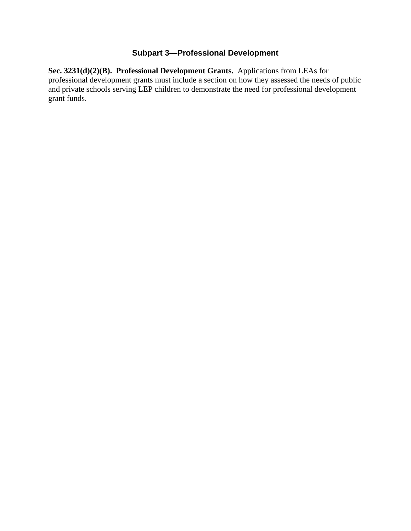# **Subpart 3—Professional Development**

**Sec. 3231(d)(2)(B). Professional Development Grants.** Applications from LEAs for professional development grants must include a section on how they assessed the needs of public and private schools serving LEP children to demonstrate the need for professional development grant funds.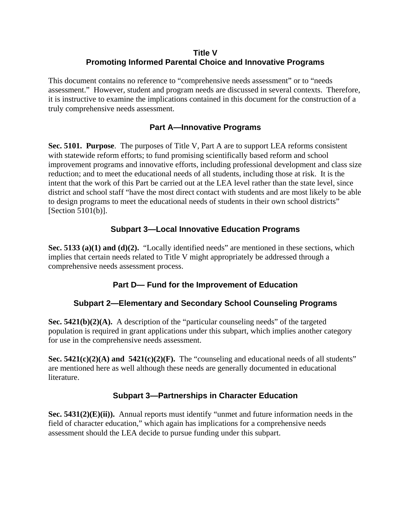# **Title V Promoting Informed Parental Choice and Innovative Programs**

This document contains no reference to "comprehensive needs assessment" or to "needs assessment." However, student and program needs are discussed in several contexts. Therefore, it is instructive to examine the implications contained in this document for the construction of a truly comprehensive needs assessment.

# **Part A—Innovative Programs**

**Sec. 5101. Purpose**. The purposes of Title V, Part A are to support LEA reforms consistent with statewide reform efforts; to fund promising scientifically based reform and school improvement programs and innovative efforts, including professional development and class size reduction; and to meet the educational needs of all students, including those at risk. It is the intent that the work of this Part be carried out at the LEA level rather than the state level, since district and school staff "have the most direct contact with students and are most likely to be able to design programs to meet the educational needs of students in their own school districts" [Section 5101(b)].

# **Subpart 3—Local Innovative Education Programs**

**Sec. 5133 (a)(1) and (d)(2).** "Locally identified needs" are mentioned in these sections, which implies that certain needs related to Title V might appropriately be addressed through a comprehensive needs assessment process.

# **Part D— Fund for the Improvement of Education**

# **Subpart 2—Elementary and Secondary School Counseling Programs**

**Sec. 5421(b)(2)(A).** A description of the "particular counseling needs" of the targeted population is required in grant applications under this subpart, which implies another category for use in the comprehensive needs assessment.

**Sec. 5421(c)(2)(A) and 5421(c)(2)(F).** The "counseling and educational needs of all students" are mentioned here as well although these needs are generally documented in educational literature.

# **Subpart 3—Partnerships in Character Education**

**Sec. 5431(2)(E)(ii)).** Annual reports must identify "unmet and future information needs in the field of character education," which again has implications for a comprehensive needs assessment should the LEA decide to pursue funding under this subpart.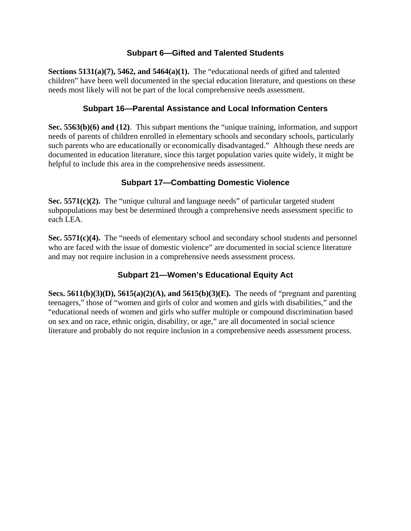# **Subpart 6—Gifted and Talented Students**

**Sections 5131(a)(7), 5462, and 5464(a)(1).** The "educational needs of gifted and talented children" have been well documented in the special education literature, and questions on these needs most likely will not be part of the local comprehensive needs assessment.

## **Subpart 16—Parental Assistance and Local Information Centers**

**Sec. 5563(b)(6) and (12)**. This subpart mentions the "unique training, information, and support needs of parents of children enrolled in elementary schools and secondary schools, particularly such parents who are educationally or economically disadvantaged." Although these needs are documented in education literature, since this target population varies quite widely, it might be helpful to include this area in the comprehensive needs assessment.

# **Subpart 17—Combatting Domestic Violence**

**Sec. 5571(c)(2).** The "unique cultural and language needs" of particular targeted student subpopulations may best be determined through a comprehensive needs assessment specific to each LEA.

**Sec. 5571(c)(4).** The "needs of elementary school and secondary school students and personnel who are faced with the issue of domestic violence" are documented in social science literature and may not require inclusion in a comprehensive needs assessment process.

# **Subpart 21—Women's Educational Equity Act**

**Secs. 5611(b)(3)(D), 5615(a)(2)(A), and 5615(b)(3)(E).** The needs of "pregnant and parenting teenagers," those of "women and girls of color and women and girls with disabilities," and the "educational needs of women and girls who suffer multiple or compound discrimination based on sex and on race, ethnic origin, disability, or age," are all documented in social science literature and probably do not require inclusion in a comprehensive needs assessment process.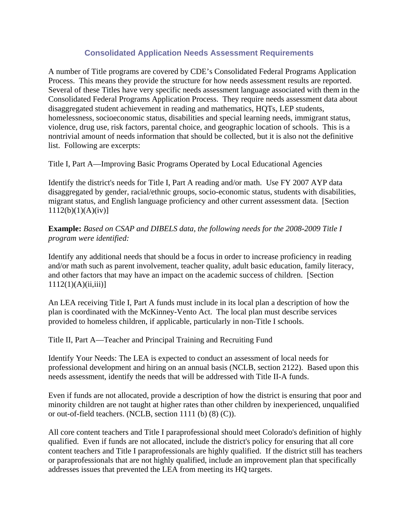# **Consolidated Application Needs Assessment Requirements**

A number of Title programs are covered by CDE's Consolidated Federal Programs Application Process. This means they provide the structure for how needs assessment results are reported. Several of these Titles have very specific needs assessment language associated with them in the Consolidated Federal Programs Application Process. They require needs assessment data about disaggregated student achievement in reading and mathematics, HQTs, LEP students, homelessness, socioeconomic status, disabilities and special learning needs, immigrant status, violence, drug use, risk factors, parental choice, and geographic location of schools. This is a nontrivial amount of needs information that should be collected, but it is also not the definitive list. Following are excerpts:

Title I, Part A—Improving Basic Programs Operated by Local Educational Agencies

Identify the district's needs for Title I, Part A reading and/or math. Use FY 2007 AYP data disaggregated by gender, racial/ethnic groups, socio-economic status, students with disabilities, migrant status, and English language proficiency and other current assessment data. [Section  $1112(b)(1)(A)(iv)$ ]

**Example:** *Based on CSAP and DIBELS data, the following needs for the 2008-2009 Title I program were identified:*

Identify any additional needs that should be a focus in order to increase proficiency in reading and/or math such as parent involvement, teacher quality, adult basic education, family literacy, and other factors that may have an impact on the academic success of children. [Section  $1112(1)(A)(ii,iii)$ ]

An LEA receiving Title I, Part A funds must include in its local plan a description of how the plan is coordinated with the McKinney-Vento Act. The local plan must describe services provided to homeless children, if applicable, particularly in non-Title I schools.

Title II, Part A—Teacher and Principal Training and Recruiting Fund

Identify Your Needs: The LEA is expected to conduct an assessment of local needs for professional development and hiring on an annual basis (NCLB, section 2122). Based upon this needs assessment, identify the needs that will be addressed with Title II-A funds.

Even if funds are not allocated, provide a description of how the district is ensuring that poor and minority children are not taught at higher rates than other children by inexperienced, unqualified or out-of-field teachers. (NCLB, section 1111 (b) (8) (C)).

All core content teachers and Title I paraprofessional should meet Colorado's definition of highly qualified. Even if funds are not allocated, include the district's policy for ensuring that all core content teachers and Title I paraprofessionals are highly qualified. If the district still has teachers or paraprofessionals that are not highly qualified, include an improvement plan that specifically addresses issues that prevented the LEA from meeting its HQ targets.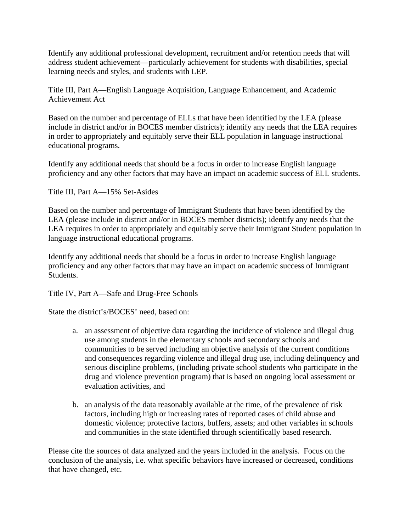Identify any additional professional development, recruitment and/or retention needs that will address student achievement—particularly achievement for students with disabilities, special learning needs and styles, and students with LEP.

Title III, Part A—English Language Acquisition, Language Enhancement, and Academic Achievement Act

Based on the number and percentage of ELLs that have been identified by the LEA (please include in district and/or in BOCES member districts); identify any needs that the LEA requires in order to appropriately and equitably serve their ELL population in language instructional educational programs.

Identify any additional needs that should be a focus in order to increase English language proficiency and any other factors that may have an impact on academic success of ELL students.

Title III, Part A—15% Set-Asides

Based on the number and percentage of Immigrant Students that have been identified by the LEA (please include in district and/or in BOCES member districts); identify any needs that the LEA requires in order to appropriately and equitably serve their Immigrant Student population in language instructional educational programs.

Identify any additional needs that should be a focus in order to increase English language proficiency and any other factors that may have an impact on academic success of Immigrant Students.

Title IV, Part A—Safe and Drug-Free Schools

State the district's/BOCES' need, based on:

- a. an assessment of objective data regarding the incidence of violence and illegal drug use among students in the elementary schools and secondary schools and communities to be served including an objective analysis of the current conditions and consequences regarding violence and illegal drug use, including delinquency and serious discipline problems, (including private school students who participate in the drug and violence prevention program) that is based on ongoing local assessment or evaluation activities, and
- b. an analysis of the data reasonably available at the time, of the prevalence of risk factors, including high or increasing rates of reported cases of child abuse and domestic violence; protective factors, buffers, assets; and other variables in schools and communities in the state identified through scientifically based research.

Please cite the sources of data analyzed and the years included in the analysis. Focus on the conclusion of the analysis, i.e. what specific behaviors have increased or decreased, conditions that have changed, etc.